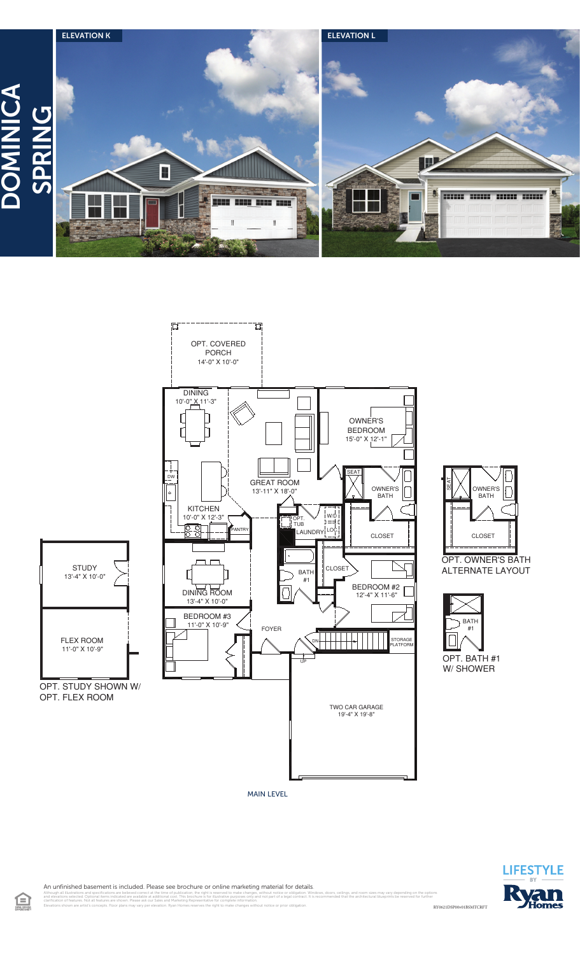



**OWNER'S BATH** 

П

SEAT

**CLOSET** 

**BATH**  $#1$ 

RY0621DSP00v01BSMTCRFT



An unfinished basement is included. Please see brochure or online marketing material for details.

illustrations and specifications are believed correct at the time of publication, the right is reserved to make changes, without notice or obligation. Windows, doors, cellings, and room sizes may vary depending on the opt<br> 食

MAIN LEVEL

clarification of features. Not all features are shown. Please ask our Sales and Marketing Representative for complete information. Elevations shown are artist's concepts. Floor plans may vary per elevation. Ryan Homes reserves the right to make changes without notice or prior obligation.